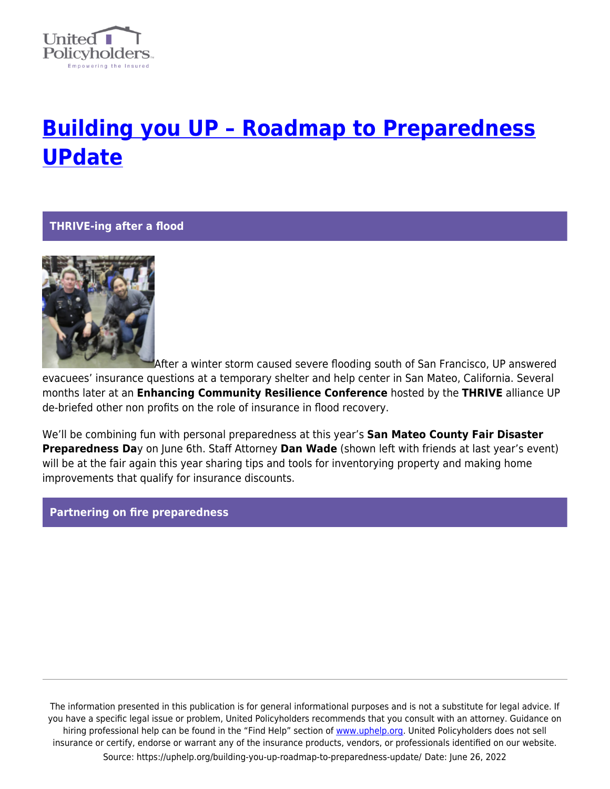

# **[Building you UP – Roadmap to Preparedness](https://uphelp.org/building-you-up-roadmap-to-preparedness-update/) [UPdate](https://uphelp.org/building-you-up-roadmap-to-preparedness-update/)**

**THRIVE-ing after a flood**



After a winter storm caused severe flooding south of San Francisco, UP answered evacuees' insurance questions at a temporary shelter and help center in San Mateo, California. Several months later at an **Enhancing Community Resilience Conference** hosted by the **THRIVE** alliance UP de-briefed other non profits on the role of insurance in flood recovery.

We'll be combining fun with personal preparedness at this year's **San Mateo County Fair Disaster Preparedness Da**y on June 6th. Staff Attorney **Dan Wade** (shown left with friends at last year's event) will be at the fair again this year sharing tips and tools for inventorying property and making home improvements that qualify for insurance discounts.

#### **Partnering on fire preparedness**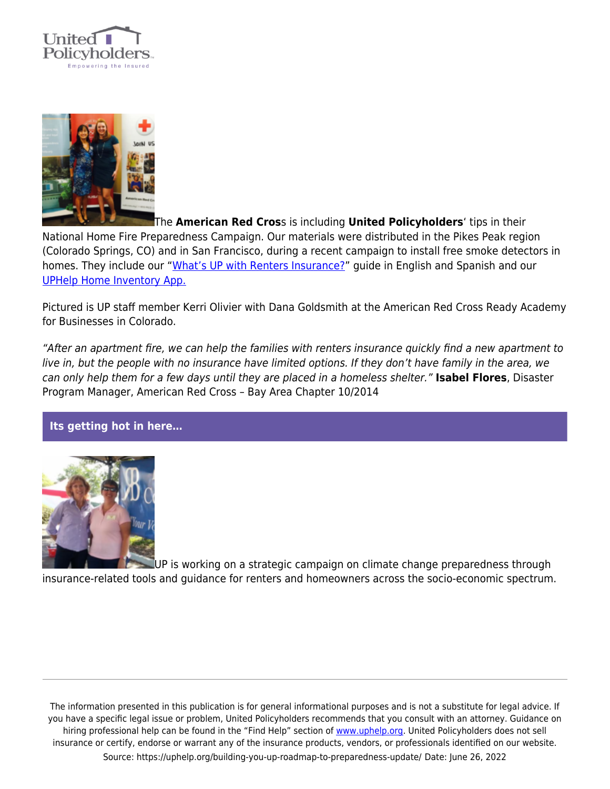



The **American Red Cros**s is including **United Policyholders**' tips in their National Home Fire Preparedness Campaign. Our materials were distributed in the Pikes Peak region (Colorado Springs, CO) and in San Francisco, during a recent campaign to install free smoke detectors in homes. They include our ["What's UP with Renters Insurance?](https://uphelp.org/wp-content/uploads/2015/04/Whats-UP-with-Renters-Insurance.pdf)" guide in English and Spanish and our [UPHelp Home Inventory App.](https://uphelp.org/preparedness/the-uphelp-home-inventory-app/)

Pictured is UP staff member Kerri Olivier with Dana Goldsmith at the American Red Cross Ready Academy for Businesses in Colorado.

"After an apartment fire, we can help the families with renters insurance quickly find a new apartment to live in, but the people with no insurance have limited options. If they don't have family in the area, we can only help them for a few days until they are placed in a homeless shelter." **Isabel Flores**, Disaster Program Manager, American Red Cross – Bay Area Chapter 10/2014

### **Its getting hot in here…**



UP is working on a strategic campaign on climate change preparedness through insurance-related tools and guidance for renters and homeowners across the socio-economic spectrum.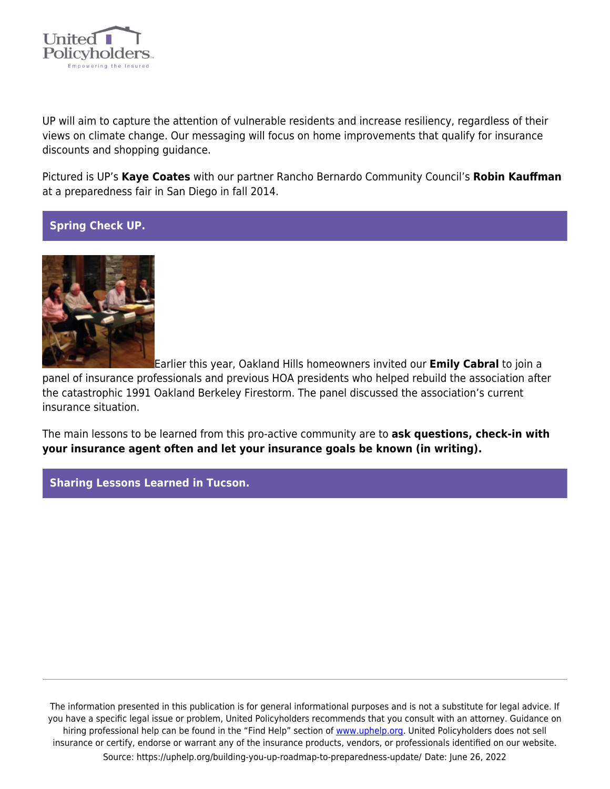

UP will aim to capture the attention of vulnerable residents and increase resiliency, regardless of their views on climate change. Our messaging will focus on home improvements that qualify for insurance discounts and shopping guidance.

Pictured is UP's **Kaye Coates** with our partner Rancho Bernardo Community Council's **Robin Kauffman** at a preparedness fair in San Diego in fall 2014.

## **Spring Check UP.**



Earlier this year, Oakland Hills homeowners invited our **Emily Cabral** to join a

panel of insurance professionals and previous HOA presidents who helped rebuild the association after the catastrophic 1991 Oakland Berkeley Firestorm. The panel discussed the association's current insurance situation.

The main lessons to be learned from this pro-active community are to **ask questions, check-in with your insurance agent often and let your insurance goals be known (in writing).**

### **Sharing Lessons Learned in Tucson.**